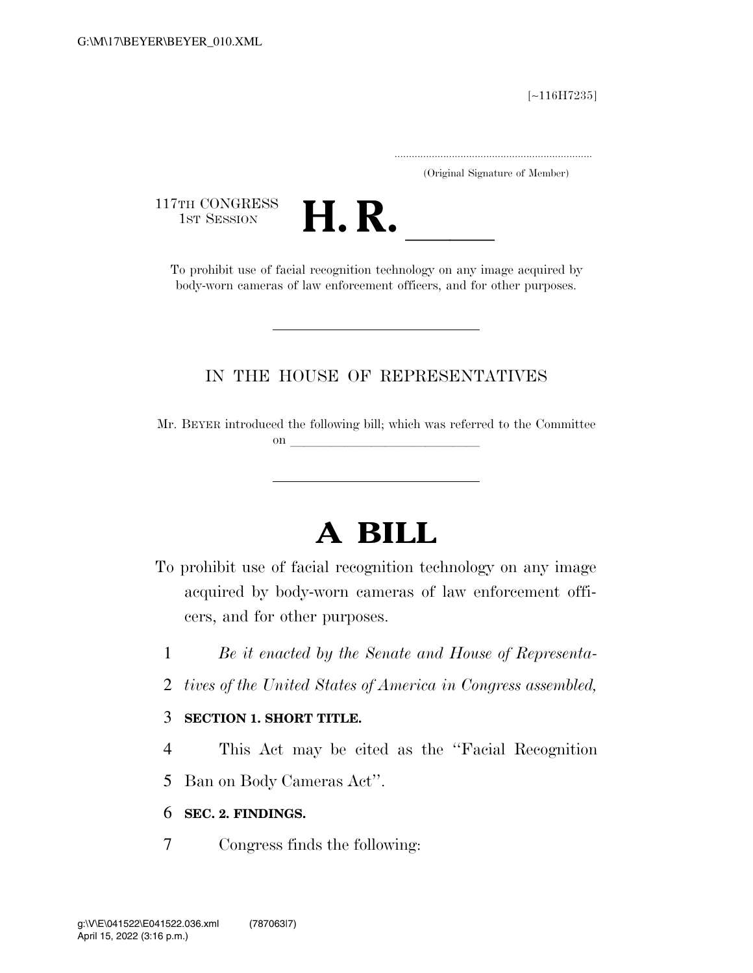[∼116H7235]

.....................................................................

(Original Signature of Member)

117TH CONGRESS<br>1st Session



TTH CONGRESS<br>1st SESSION **H. R. I. B. CONGRESS** body-worn cameras of law enforcement officers, and for other purposes.

### IN THE HOUSE OF REPRESENTATIVES

Mr. BEYER introduced the following bill; which was referred to the Committee on llet us a set of the set of the set of the set of the set of the set of the set of the set of the set of the set of the set of the set of the set of the set of the set of the set of the set of the set of the set of the

# **A BILL**

- To prohibit use of facial recognition technology on any image acquired by body-worn cameras of law enforcement officers, and for other purposes.
	- 1 *Be it enacted by the Senate and House of Representa-*
	- 2 *tives of the United States of America in Congress assembled,*

#### 3 **SECTION 1. SHORT TITLE.**

- 4 This Act may be cited as the ''Facial Recognition
- 5 Ban on Body Cameras Act''.

#### 6 **SEC. 2. FINDINGS.**

7 Congress finds the following: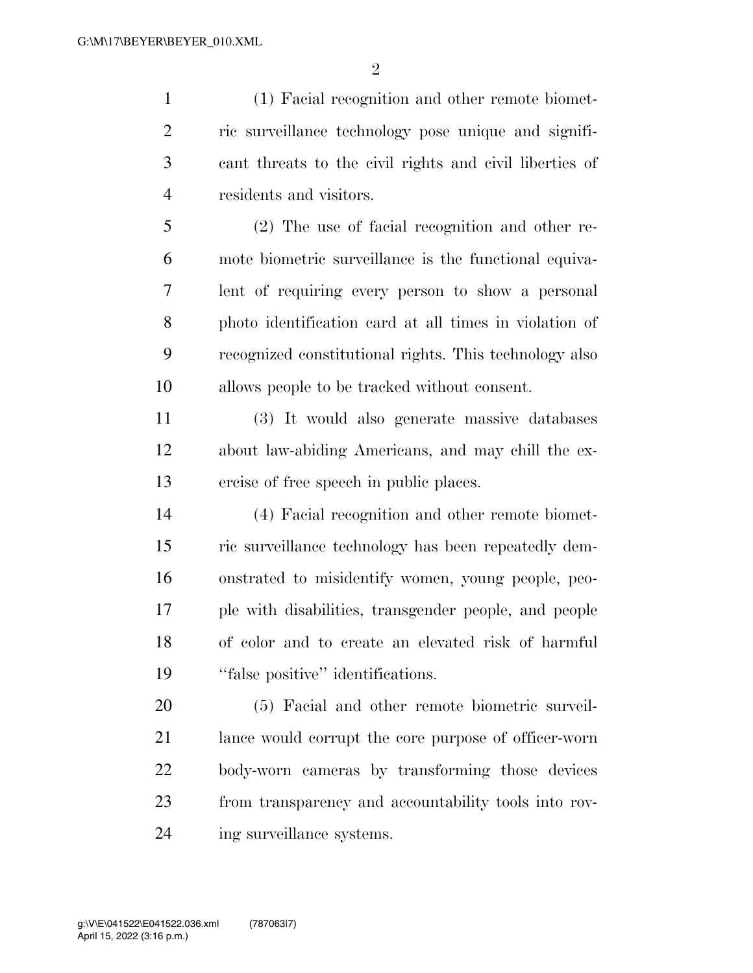(1) Facial recognition and other remote biomet- ric surveillance technology pose unique and signifi- cant threats to the civil rights and civil liberties of residents and visitors.

 (2) The use of facial recognition and other re- mote biometric surveillance is the functional equiva- lent of requiring every person to show a personal photo identification card at all times in violation of recognized constitutional rights. This technology also allows people to be tracked without consent.

 (3) It would also generate massive databases about law-abiding Americans, and may chill the ex-ercise of free speech in public places.

 (4) Facial recognition and other remote biomet- ric surveillance technology has been repeatedly dem- onstrated to misidentify women, young people, peo- ple with disabilities, transgender people, and people of color and to create an elevated risk of harmful ''false positive'' identifications.

 (5) Facial and other remote biometric surveil- lance would corrupt the core purpose of officer-worn body-worn cameras by transforming those devices from transparency and accountability tools into rov-ing surveillance systems.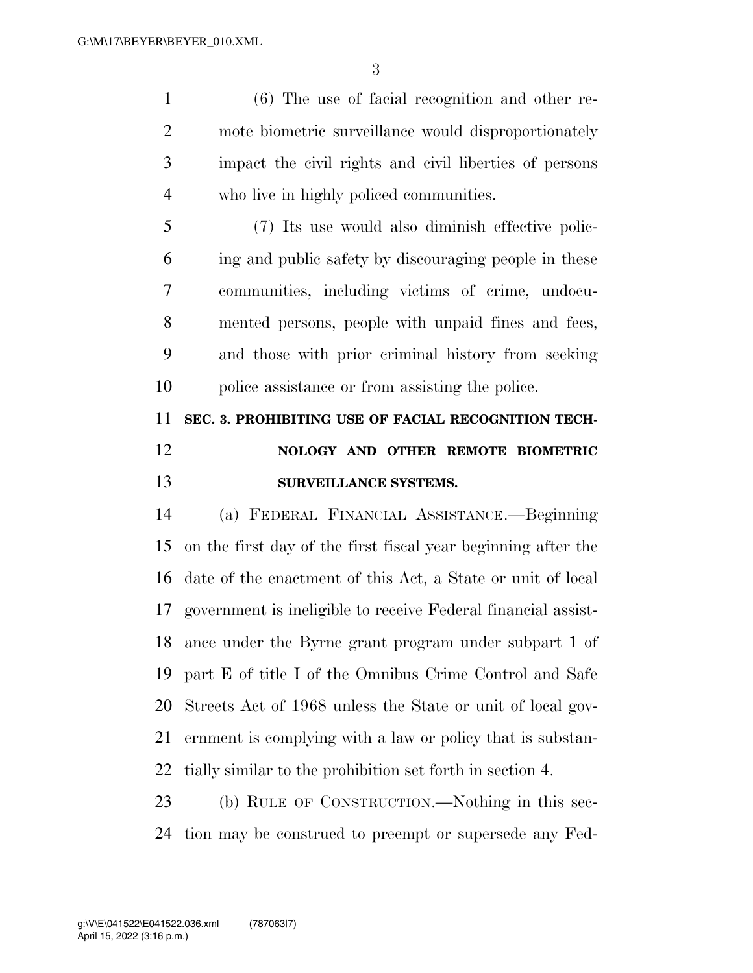(6) The use of facial recognition and other re- mote biometric surveillance would disproportionately impact the civil rights and civil liberties of persons who live in highly policed communities.

 (7) Its use would also diminish effective polic- ing and public safety by discouraging people in these communities, including victims of crime, undocu- mented persons, people with unpaid fines and fees, and those with prior criminal history from seeking police assistance or from assisting the police.

## **SEC. 3. PROHIBITING USE OF FACIAL RECOGNITION TECH- NOLOGY AND OTHER REMOTE BIOMETRIC SURVEILLANCE SYSTEMS.**

 (a) FEDERAL FINANCIAL ASSISTANCE.—Beginning on the first day of the first fiscal year beginning after the date of the enactment of this Act, a State or unit of local government is ineligible to receive Federal financial assist- ance under the Byrne grant program under subpart 1 of part E of title I of the Omnibus Crime Control and Safe Streets Act of 1968 unless the State or unit of local gov- ernment is complying with a law or policy that is substan-tially similar to the prohibition set forth in section 4.

 (b) RULE OF CONSTRUCTION.—Nothing in this sec-tion may be construed to preempt or supersede any Fed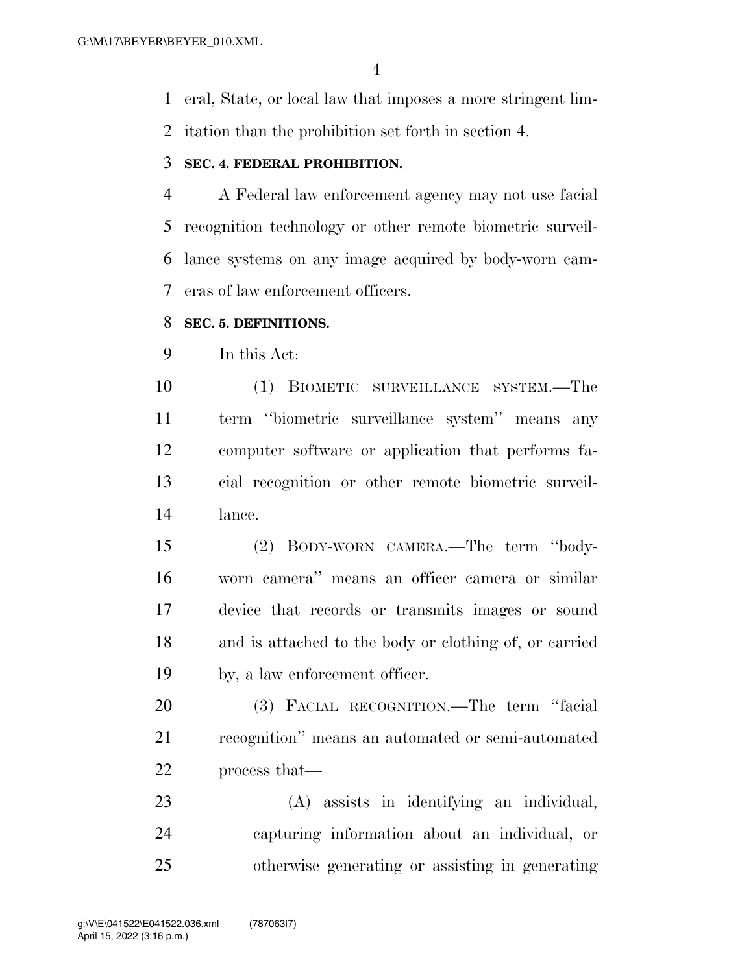eral, State, or local law that imposes a more stringent lim-

itation than the prohibition set forth in section 4.

#### **SEC. 4. FEDERAL PROHIBITION.**

 A Federal law enforcement agency may not use facial recognition technology or other remote biometric surveil- lance systems on any image acquired by body-worn cam-eras of law enforcement officers.

#### **SEC. 5. DEFINITIONS.**

In this Act:

 (1) BIOMETIC SURVEILLANCE SYSTEM.—The term ''biometric surveillance system'' means any computer software or application that performs fa- cial recognition or other remote biometric surveil-lance.

 (2) BODY-WORN CAMERA.—The term ''body- worn camera'' means an officer camera or similar device that records or transmits images or sound and is attached to the body or clothing of, or carried by, a law enforcement officer.

 (3) FACIAL RECOGNITION.—The term ''facial recognition'' means an automated or semi-automated process that—

 (A) assists in identifying an individual, capturing information about an individual, or otherwise generating or assisting in generating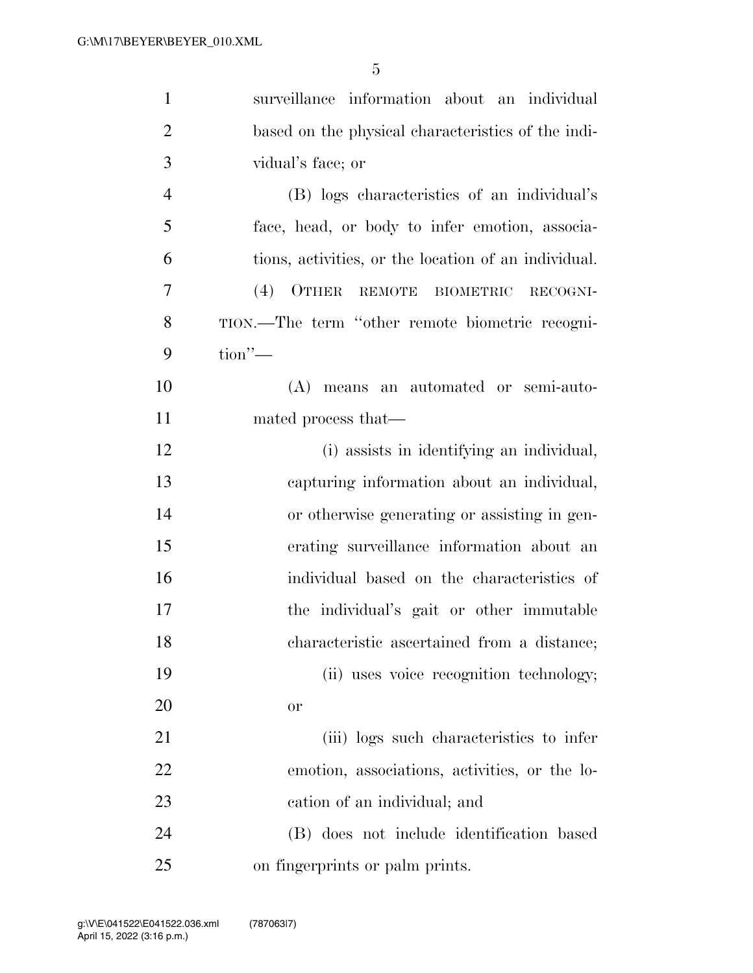| $\mathbf{1}$   | surveillance information about an individual         |
|----------------|------------------------------------------------------|
| $\overline{2}$ | based on the physical characteristics of the indi-   |
| 3              | vidual's face; or                                    |
| $\overline{4}$ | (B) logs characteristics of an individual's          |
| 5              | face, head, or body to infer emotion, associa-       |
| 6              | tions, activities, or the location of an individual. |
| 7              | $(4)$ OTHER<br>REMOTE BIOMETRIC<br>RECOGNI-          |
| 8              | TION.—The term "other remote biometric recogni-      |
| 9              | $\text{tion}$ "-                                     |
| 10             | (A) means an automated or semi-auto-                 |
| 11             | mated process that—                                  |
| 12             | (i) assists in identifying an individual,            |
| 13             | capturing information about an individual,           |
| 14             | or otherwise generating or assisting in gen-         |
| 15             | erating surveillance information about an            |
| 16             | individual based on the characteristics of           |
| 17             | the individual's gait or other immutable             |
| 18             | characteristic ascertained from a distance;          |
| 19             | (ii) uses voice recognition technology;              |
| 20             | or                                                   |
| 21             | (iii) logs such characteristics to infer             |
| 22             | emotion, associations, activities, or the lo-        |
| 23             | cation of an individual; and                         |
| 24             | (B) does not include identification based            |
| 25             | on fingerprints or palm prints.                      |